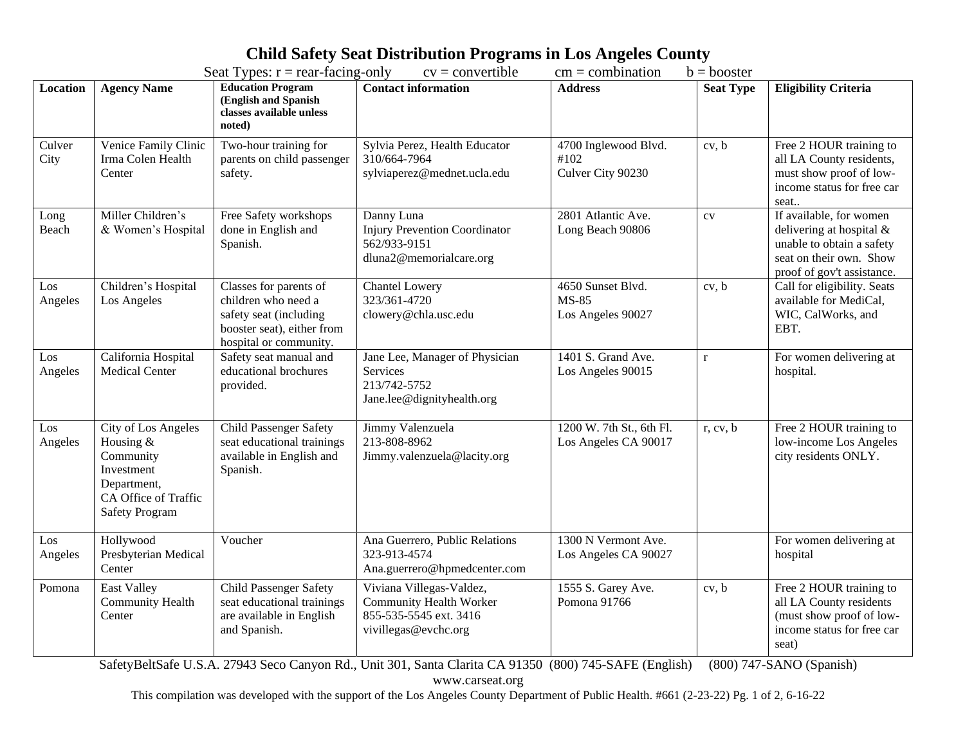## **Child Safety Seat Distribution Programs in Los Angeles County**<br>Seat Types: r = rear facing only<br> $cy =$  convertible<br> $cm =$  combination b = booster

| Seat Types: $r = rear-facing-only$<br>$cv =$ convertible<br>$cm = combination$<br>$b =$ booster |                                                                                                                             |                                                                                                                                 |                                                                                                              |                                                        |                  |                                                                                                                                              |  |
|-------------------------------------------------------------------------------------------------|-----------------------------------------------------------------------------------------------------------------------------|---------------------------------------------------------------------------------------------------------------------------------|--------------------------------------------------------------------------------------------------------------|--------------------------------------------------------|------------------|----------------------------------------------------------------------------------------------------------------------------------------------|--|
| Location                                                                                        | <b>Agency Name</b>                                                                                                          | <b>Education Program</b><br>(English and Spanish<br>classes available unless<br>noted)                                          | <b>Contact information</b>                                                                                   | <b>Address</b>                                         | <b>Seat Type</b> | <b>Eligibility Criteria</b>                                                                                                                  |  |
| Culver<br>City                                                                                  | Venice Family Clinic<br>Irma Colen Health<br>Center                                                                         | Two-hour training for<br>parents on child passenger<br>safety.                                                                  | Sylvia Perez, Health Educator<br>310/664-7964<br>sylviaperez@mednet.ucla.edu                                 | 4700 Inglewood Blvd.<br>#102<br>Culver City 90230      | cv, b            | Free 2 HOUR training to<br>all LA County residents,<br>must show proof of low-<br>income status for free car<br>seat                         |  |
| Long<br>Beach                                                                                   | Miller Children's<br>& Women's Hospital                                                                                     | Free Safety workshops<br>done in English and<br>Spanish.                                                                        | Danny Luna<br><b>Injury Prevention Coordinator</b><br>562/933-9151<br>dluna2@memorialcare.org                | 2801 Atlantic Ave.<br>Long Beach 90806                 | CV               | If available, for women<br>delivering at hospital $\&$<br>unable to obtain a safety<br>seat on their own. Show<br>proof of gov't assistance. |  |
| Los<br>Angeles                                                                                  | Children's Hospital<br>Los Angeles                                                                                          | Classes for parents of<br>children who need a<br>safety seat (including<br>booster seat), either from<br>hospital or community. | <b>Chantel Lowery</b><br>323/361-4720<br>clowery@chla.usc.edu                                                | 4650 Sunset Blvd.<br><b>MS-85</b><br>Los Angeles 90027 | cv, b            | Call for eligibility. Seats<br>available for MediCal,<br>WIC, CalWorks, and<br>EBT.                                                          |  |
| Los<br>Angeles                                                                                  | California Hospital<br><b>Medical Center</b>                                                                                | Safety seat manual and<br>educational brochures<br>provided.                                                                    | Jane Lee, Manager of Physician<br><b>Services</b><br>213/742-5752<br>Jane.lee@dignityhealth.org              | 1401 S. Grand Ave.<br>Los Angeles 90015                | $\mathbf{r}$     | For women delivering at<br>hospital.                                                                                                         |  |
| Los<br>Angeles                                                                                  | City of Los Angeles<br>Housing &<br>Community<br>Investment<br>Department,<br>CA Office of Traffic<br><b>Safety Program</b> | <b>Child Passenger Safety</b><br>seat educational trainings<br>available in English and<br>Spanish.                             | Jimmy Valenzuela<br>213-808-8962<br>Jimmy.valenzuela@lacity.org                                              | 1200 W. 7th St., 6th Fl.<br>Los Angeles CA 90017       | r, cv, b         | Free 2 HOUR training to<br>low-income Los Angeles<br>city residents ONLY.                                                                    |  |
| Los<br>Angeles                                                                                  | Hollywood<br>Presbyterian Medical<br>Center                                                                                 | Voucher                                                                                                                         | Ana Guerrero, Public Relations<br>323-913-4574<br>Ana.guerrero@hpmedcenter.com                               | 1300 N Vermont Ave.<br>Los Angeles CA 90027            |                  | For women delivering at<br>hospital                                                                                                          |  |
| Pomona                                                                                          | <b>East Valley</b><br><b>Community Health</b><br>Center                                                                     | <b>Child Passenger Safety</b><br>seat educational trainings<br>are available in English<br>and Spanish.                         | Viviana Villegas-Valdez,<br><b>Community Health Worker</b><br>855-535-5545 ext. 3416<br>vivillegas@evchc.org | 1555 S. Garey Ave.<br>Pomona 91766                     | cv, b            | Free 2 HOUR training to<br>all LA County residents<br>(must show proof of low-<br>income status for free car<br>seat)                        |  |

SafetyBeltSafe U.S.A. 27943 Seco Canyon Rd., Unit 301, Santa Clarita CA 91350 (800) 745-SAFE (English) (800) 747-SANO (Spanish)

www.carseat.org

This compilation was developed with the support of the Los Angeles County Department of Public Health. #661 (2-23-22) Pg. 1 of 2, 6-16-22